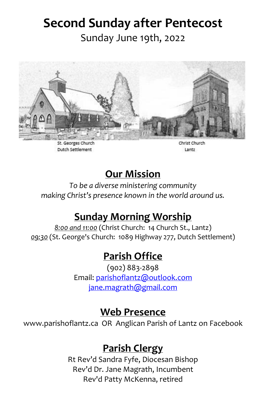# **Second Sunday after Pentecost**

Sunday June 19th, 2022



St. Georges Church Dutch Settlement

Christ Church Lantz

### **Our Mission**

*To be a diverse ministering community making Christ's presence known in the world around us.*

# **Sunday Morning Worship**

*8:00 and 11:00* (Christ Church: 14 Church St., Lantz) *09:30* (St. George's Church: 1089 Highway 277, Dutch Settlement)

### **Parish Office**

(902) 883-2898 Email: [parishoflantz@outlook.com](mailto:parishoflantz@outlook.com) [jane.magrath@gmail.com](mailto:jane.magrath@gmail.com)

#### **Web Presence**

www.parishoflantz.ca OR Anglican Parish of Lantz on Facebook

#### **Parish Clergy**

Rt Rev'd Sandra Fyfe, Diocesan Bishop Rev'd Dr. Jane Magrath, Incumbent Rev'd Patty McKenna, retired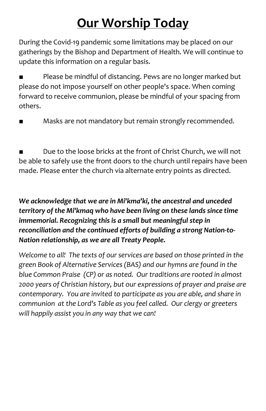# **Our Worship Today**

During the Covid-19 pandemic some limitations may be placed on our gatherings by the Bishop and Department of Health. We will continue to update this information on a regular basis.

Please be mindful of distancing. Pews are no longer marked but please do not impose yourself on other people's space. When coming forward to receive communion, please be mindful of your spacing from others.

Masks are not mandatory but remain strongly recommended.

Due to the loose bricks at the front of Christ Church, we will not be able to safely use the front doors to the church until repairs have been made. Please enter the church via alternate entry points as directed.

#### *We acknowledge that we are in Mi'kma'ki, the ancestral and unceded territory of the Mi'kmaq who have been living on these lands since time immemorial. Recognizing this is a small but meaningful step in reconciliation and the continued efforts of building a strong Nation-to-Nation relationship, as we are all Treaty People.*

*Welcome to all! The texts of our services are based on those printed in the green Book of Alternative Services (BAS) and our hymns are found in the blue Common Praise (CP) or as noted. Our traditions are rooted in almost 2000 years of Christian history, but our expressions of prayer and praise are contemporary. You are invited to participate as you are able, and share in communion at the Lord's Table as you feel called. Our clergy or greeters will happily assist you in any way that we can!*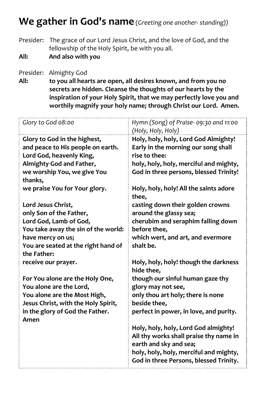#### **We gather in God's name** (*Greeting one another- standing))*

Presider: The grace of our Lord Jesus Christ, and the love of God, and the fellowship of the Holy Spirit, be with you all.

**All: And also with you**

Presider: Almighty God

**All: to you all hearts are open, all desires known, and from you no secrets are hidden. Cleanse the thoughts of our hearts by the inspiration of your Holy Spirit, that we may perfectly love you and worthily magnify your holy name; through Christ our Lord. Amen.**

| Glory to God 08:00                                                  | Hymn (Song) of Praise- 09:30 and 11:00<br>(Holy, Holy, Holy) |
|---------------------------------------------------------------------|--------------------------------------------------------------|
| Glory to God in the highest,                                        | Holy, holy, holy, Lord God Almighty!                         |
| and peace to His people on earth.                                   | Early in the morning our song shall                          |
| Lord God, heavenly King,                                            | rise to thee:                                                |
| Almighty God and Father,                                            | holy, holy, holy, merciful and mighty,                       |
| we worship You, we give You                                         | God in three persons, blessed Trinity!                       |
| thanks,                                                             |                                                              |
| we praise You for Your glory.                                       | Holy, holy, holy! All the saints adore<br>thee,              |
| Lord Jesus Christ,                                                  | casting down their golden crowns                             |
| only Son of the Father,                                             | around the glassy sea;                                       |
| Lord God, Lamb of God,                                              | cherubim and seraphim falling down                           |
| You take away the sin of the world:                                 | before thee,                                                 |
| have mercy on us;                                                   | which wert, and art, and evermore                            |
| You are seated at the right hand of                                 | shalt be.                                                    |
| the Father:                                                         |                                                              |
| receive our prayer.                                                 | Holy, holy, holy! though the darkness                        |
|                                                                     | hide thee,                                                   |
| For You alone are the Holy One,                                     | though our sinful human gaze thy                             |
| You alone are the Lord,                                             | glory may not see,                                           |
| You alone are the Most High,<br>Jesus Christ, with the Holy Spirit, | only thou art holy; there is none<br>beside thee,            |
| in the glory of God the Father.                                     | perfect in power, in love, and purity.                       |
| Amen                                                                |                                                              |
|                                                                     | Holy, holy, holy, Lord God almighty!                         |
|                                                                     | All thy works shall praise thy name in                       |
|                                                                     | earth and sky and sea;                                       |
|                                                                     | holy, holy, holy, merciful and mighty,                       |
|                                                                     | God in three Persons, blessed Trinity.                       |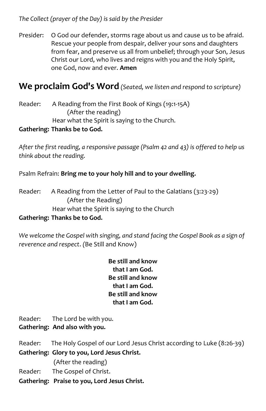*The Collect (prayer of the Day) is said by the Presider*

Presider: O God our defender, storms rage about us and cause us to be afraid. Rescue your people from despair, deliver your sons and daughters from fear, and preserve us all from unbelief; through your Son, Jesus Christ our Lord, who lives and reigns with you and the Holy Spirit, one God, now and ever. **Amen**

#### **We proclaim God's Word** *(Seated, we listen and respond to scripture)*

Reader: A Reading from the First Book of Kings (19:1-15A) (After the reading) Hear what the Spirit is saying to the Church.

#### **Gathering: Thanks be to God.**

*After the first reading, a responsive passage (Psalm 42 and 43) is offered to help us think about the reading.*

Psalm Refrain: **Bring me to your holy hill and to your dwelling.**

Reader: A Reading from the Letter of Paul to the Galatians (3:23-29) (After the Reading) Hear what the Spirit is saying to the Church

#### **Gathering: Thanks be to God.**

*We welcome the Gospel with singing, and stand facing the Gospel Book as a sign of reverence and respect*. *(*Be Still and Know)

> **Be still and know that I am God. Be still and know that I am God. Be still and know that I am God.**

Reader: The Lord be with you.

#### **Gathering: And also with you.**

- Reader: The Holy Gospel of our Lord Jesus Christ according to Luke (8:26-39) **Gathering: Glory to you, Lord Jesus Christ.** (After the reading) Reader: The Gospel of Christ.
- **Gathering: Praise to you, Lord Jesus Christ.**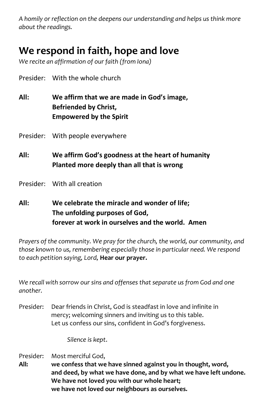*A homily or reflection on the deepens our understanding and helps us think more about the readings.*

## **We respond in faith, hope and love**

*We recite an affirmation of our faith (from Iona)*

Presider: With the whole church

**All: We affirm that we are made in God's image, Befriended by Christ, Empowered by the Spirit** 

Presider: With people everywhere

- **All: We affirm God's goodness at the heart of humanity Planted more deeply than all that is wrong**
- Presider: With all creation
- **All: We celebrate the miracle and wonder of life; The unfolding purposes of God, forever at work in ourselves and the world. Amen**

*Prayers of the community. We pray for the church, the world, our community, and those known to us, remembering especially those in particular need. We respond to each petition saying, Lord,* **Hear our prayer.**

*We recall with sorrow our sins and offenses that separate us from God and one another.*

Presider: Dear friends in Christ, God is steadfast in love and infinite in mercy; welcoming sinners and inviting us to this table. Let us confess our sins, confident in God's forgiveness.

*Silence is kept*.

Presider: Most merciful God,

**All: we confess that we have sinned against you in thought, word, and deed, by what we have done, and by what we have left undone. We have not loved you with our whole heart; we have not loved our neighbours as ourselves.**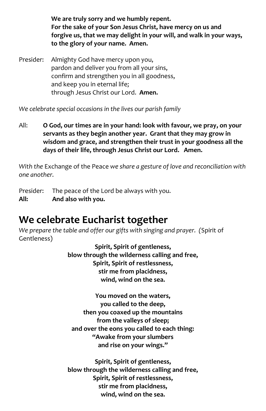**We are truly sorry and we humbly repent. For the sake of your Son Jesus Christ, have mercy on us and forgive us, that we may delight in your will, and walk in your ways, to the glory of your name. Amen.**

Presider: Almighty God have mercy upon you, pardon and deliver you from all your sins, confirm and strengthen you in all goodness, and keep you in eternal life; through Jesus Christ our Lord. **Amen.**

*We celebrate special occasions in the lives our parish family*

All: **O God, our times are in your hand: look with favour, we pray, on your servants as they begin another year. Grant that they may grow in wisdom and grace, and strengthen their trust in your goodness all the days of their life, through Jesus Christ our Lord. Amen.**

*With the* Exchange of the Peace *we share a gesture of love and reconciliation with one another.*

Presider: The peace of the Lord be always with you. **All: And also with you.**

### **We celebrate Eucharist together**

*We prepare the table and offer our gifts with singing and prayer. (*Spirit of Gentleness)

> **Spirit, Spirit of gentleness, blow through the wilderness calling and free, Spirit, Spirit of restlessness, stir me from placidness, wind, wind on the sea.**

**You moved on the waters, you called to the deep, then you coaxed up the mountains from the valleys of sleep; and over the eons you called to each thing: "Awake from your slumbers and rise on your wings."**

**Spirit, Spirit of gentleness, blow through the wilderness calling and free, Spirit, Spirit of restlessness, stir me from placidness, wind, wind on the sea.**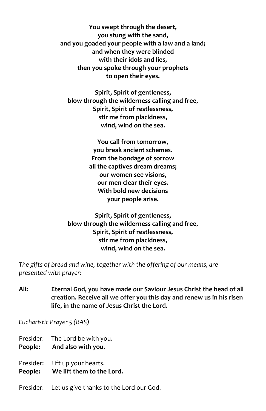**You swept through the desert, you stung with the sand, and you goaded your people with a law and a land; and when they were blinded with their idols and lies, then you spoke through your prophets to open their eyes.**

**Spirit, Spirit of gentleness, blow through the wilderness calling and free, Spirit, Spirit of restlessness, stir me from placidness, wind, wind on the sea.**

> **You call from tomorrow, you break ancient schemes. From the bondage of sorrow all the captives dream dreams; our women see visions, our men clear their eyes. With bold new decisions your people arise.**

**Spirit, Spirit of gentleness, blow through the wilderness calling and free, Spirit, Spirit of restlessness, stir me from placidness, wind, wind on the sea.**

*The gifts of bread and wine, together with the offering of our means, are presented with prayer:*

**All: Eternal God, you have made our Saviour Jesus Christ the head of all creation. Receive all we offer you this day and renew us in his risen life, in the name of Jesus Christ the Lord.**

*Eucharistic Prayer 5 (BAS)*

Presider: The Lord be with you.

- **People: And also with you**.
- Presider: Lift up your hearts. **People: We lift them to the Lord.**
- Presider: Let us give thanks to the Lord our God.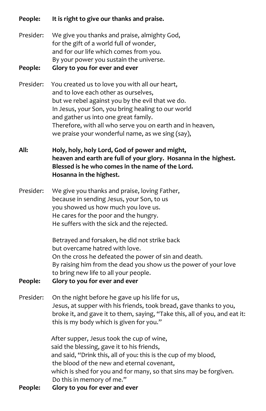**People: It is right to give our thanks and praise.**

Presider: We give you thanks and praise, almighty God, for the gift of a world full of wonder, and for our life which comes from you. By your power you sustain the universe.

#### **People: Glory to you for ever and ever**

- Presider: You created us to love you with all our heart, and to love each other as ourselves, but we rebel against you by the evil that we do. In Jesus, your Son, you bring healing to our world and gather us into one great family. Therefore, with all who serve you on earth and in heaven, we praise your wonderful name, as we sing (say),
- **All: Holy, holy, holy Lord, God of power and might, heaven and earth are full of your glory. Hosanna in the highest. Blessed is he who comes in the name of the Lord. Hosanna in the highest.**
- Presider: We give you thanks and praise, loving Father, because in sending Jesus, your Son, to us you showed us how much you love us. He cares for the poor and the hungry. He suffers with the sick and the rejected.

Betrayed and forsaken, he did not strike back but overcame hatred with love. On the cross he defeated the power of sin and death. By raising him from the dead you show us the power of your love to bring new life to all your people.

- **People: Glory to you for ever and ever**
- Presider: On the night before he gave up his life for us, Jesus, at supper with his friends, took bread, gave thanks to you, broke it, and gave it to them, saying, "Take this, all of you, and eat it: this is my body which is given for you."

After supper, Jesus took the cup of wine, said the blessing, gave it to his friends, and said, "Drink this, all of you: this is the cup of my blood, the blood of the new and eternal covenant, which is shed for you and for many, so that sins may be forgiven. Do this in memory of me."

**People: Glory to you for ever and ever**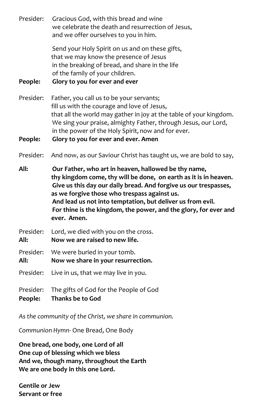Presider: Gracious God, with this bread and wine we celebrate the death and resurrection of Jesus, and we offer ourselves to you in him.

> Send your Holy Spirit on us and on these gifts, that we may know the presence of Jesus in the breaking of bread, and share in the life of the family of your children.

**People: Glory to you for ever and ever**

Presider: Father, you call us to be your servants; fill us with the courage and love of Jesus, that all the world may gather in joy at the table of your kingdom. We sing your praise, almighty Father, through Jesus, our Lord, in the power of the Holy Spirit, now and for ever.

**People: Glory to you for ever and ever. Amen**

Presider: And now, as our Saviour Christ has taught us, we are bold to say,

**All: Our Father, who art in heaven, hallowed be thy name, thy kingdom come, thy will be done, on earth as it is in heaven. Give us this day our daily bread. And forgive us our trespasses, as we forgive those who trespass against us. And lead us not into temptation, but deliver us from evil. For thine is the kingdom, the power, and the glory, for ever and ever. Amen.**

Presider: Lord, we died with you on the cross.

**All: Now we are raised to new life.** 

Presider: We were buried in your tomb. **All: Now we share in your resurrection.**

Presider: Live in us, that we may live in you.

Presider: The gifts of God for the People of God

**People: Thanks be to God**

*As the community of the Christ, we share in communion.* 

*Communion Hymn-* One Bread, One Body

**One bread, one body, one Lord of all One cup of blessing which we bless And we, though many, throughout the Earth We are one body in this one Lord.**

**Gentile or Jew Servant or free**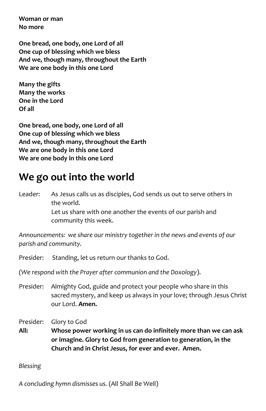**Woman or man No more**

**One bread, one body, one Lord of all One cup of blessing which we bless And we, though many, throughout the Earth We are one body in this one Lord**

**Many the gifts Many the works One in the Lord Of all**

**One bread, one body, one Lord of all One cup of blessing which we bless And we, though many, throughout the Earth We are one body in this one Lord We are one body in this one Lord**

### **We go out into the world**

Leader: As Jesus calls us as disciples, God sends us out to serve others in the world. Let us share with one another the events of our parish and community this week.

*Announcements: we share our ministry together in the news and events of our parish and community.*

Presider: Standing, let us return our thanks to God.

(*We respond with the Prayer after communion and the Doxology*).

- Presider: Almighty God, guide and protect your people who share in this sacred mystery, and keep us always in your love; through Jesus Christ our Lord. **Amen.**
- Presider: Glory to God

**All: Whose power working in us can do infinitely more than we can ask or imagine. Glory to God from generation to generation, in the Church and in Christ Jesus, for ever and ever. Amen.**

*Blessing*

*A concluding hymn dismisses us.* (All Shall Be Well)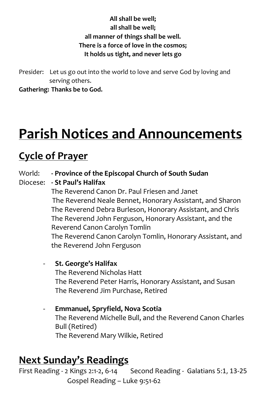#### **All shall be well; all shall be well; all manner of things shall be well. There is a force of love in the cosmos; It holds us tight, and never lets go**

Presider: Let us go out into the world to love and serve God by loving and serving others.

**Gathering: Thanks be to God.** 

# **Parish Notices and Announcements**

### **Cycle of Prayer**

- World: **- Province of the Episcopal Church of South Sudan**
- Diocese: **- St Paul's Halifax**

The Reverend Canon Dr. Paul Friesen and Janet The Reverend Neale Bennet, Honorary Assistant, and Sharon The Reverend Debra Burleson, Honorary Assistant, and Chris The Reverend John Ferguson, Honorary Assistant, and the Reverend Canon Carolyn Tomlin The Reverend Canon Carolyn Tomlin, Honorary Assistant, and the Reverend John Ferguson

- **St. George's Halifax**  The Reverend Nicholas Hatt The Reverend Peter Harris, Honorary Assistant, and Susan The Reverend Jim Purchase, Retired
- **Emmanuel, Spryfield, Nova Scotia**  The Reverend Michelle Bull, and the Reverend Canon Charles Bull (Retired) The Reverend Mary Wilkie, Retired

### **Next Sunday's Readings**

First Reading - 2 Kings 2:1-2, 6-14 Second Reading - Galatians 5:1, 13-25 Gospel Reading – Luke 9:51-62